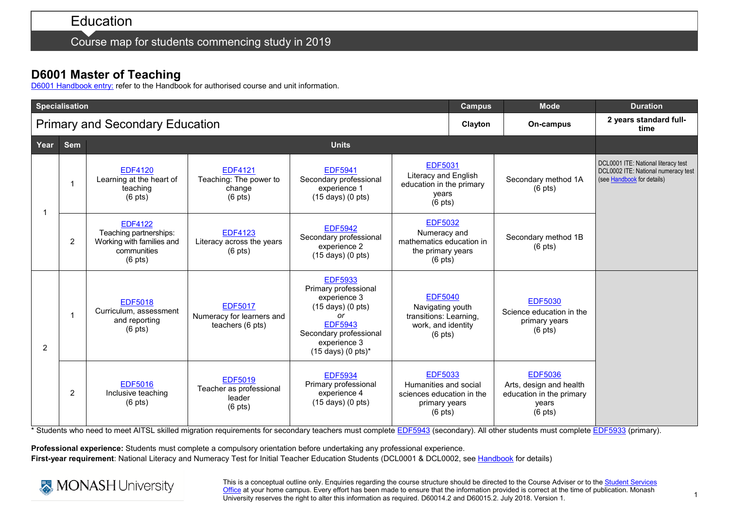Course map for students commencing study in 2019

## **D6001 Master of Teaching**

[D6001 Handbook entry:](http://www.monash.edu.au/pubs/2019handbooks/courses/D6001.html) refer to the Handbook for authorised course and unit information.

| <b>Specialisation</b>                  |      |                |                                                                                                   |                                                                          |                                                                                                                                                                                                            |                                                                                                         |  | <b>Mode</b>                                                                                 | <b>Duration</b>                                                                                          |  |
|----------------------------------------|------|----------------|---------------------------------------------------------------------------------------------------|--------------------------------------------------------------------------|------------------------------------------------------------------------------------------------------------------------------------------------------------------------------------------------------------|---------------------------------------------------------------------------------------------------------|--|---------------------------------------------------------------------------------------------|----------------------------------------------------------------------------------------------------------|--|
| <b>Primary and Secondary Education</b> |      |                |                                                                                                   |                                                                          |                                                                                                                                                                                                            |                                                                                                         |  | On-campus                                                                                   | 2 years standard full-<br>time                                                                           |  |
|                                        | Year | <b>Sem</b>     |                                                                                                   |                                                                          |                                                                                                                                                                                                            |                                                                                                         |  |                                                                                             |                                                                                                          |  |
|                                        |      |                | <b>EDF4120</b><br>Learning at the heart of<br>teaching<br>$(6$ pts)                               | <b>EDF4121</b><br>Teaching: The power to<br>change<br>$(6 \text{ pts})$  | <b>EDF5941</b><br>Secondary professional<br>experience 1<br>(15 days) (0 pts)                                                                                                                              | <b>EDF5031</b><br>Literacy and English<br>education in the primary<br>years<br>$(6$ pts)                |  | Secondary method 1A<br>$(6 \text{ pts})$                                                    | DCL0001 ITE: National literacy test<br>DCL0002 ITE: National numeracy test<br>(see Handbook for details) |  |
|                                        |      | $\overline{2}$ | <b>EDF4122</b><br>Teaching partnerships:<br>Working with families and<br>communities<br>$(6$ pts) | <b>EDF4123</b><br>Literacy across the years<br>$(6 \text{ pts})$         | <b>EDF5942</b><br>Secondary professional<br>experience 2<br>$(15 \text{ days})$ $(0 \text{ pts})$                                                                                                          | <b>EDF5032</b><br>Numeracy and<br>mathematics education in<br>the primary years<br>$(6 \text{ pts})$    |  | Secondary method 1B<br>$(6 \text{ pts})$                                                    |                                                                                                          |  |
|                                        | 2    |                | <b>EDF5018</b><br>Curriculum, assessment<br>and reporting<br>$(6 \text{ pts})$                    | <b>EDF5017</b><br>Numeracy for learners and<br>teachers (6 pts)          | <b>EDF5933</b><br>Primary professional<br>experience 3<br>$(15 \text{ days})$ $(0 \text{ pts})$<br>or<br><b>EDF5943</b><br>Secondary professional<br>experience 3<br>$(15 \text{ days}) (0 \text{ pts})^*$ | <b>EDF5040</b><br>Navigating youth<br>transitions: Learning,<br>work, and identity<br>$(6 \text{ pts})$ |  | <b>EDF5030</b><br>Science education in the<br>primary years<br>$(6$ pts)                    |                                                                                                          |  |
|                                        |      | 2              | <b>EDF5016</b><br>Inclusive teaching<br>$(6 \text{ pts})$                                         | <b>EDF5019</b><br>Teacher as professional<br>leader<br>$(6 \text{ pts})$ | <b>EDF5934</b><br>Primary professional<br>experience 4<br>$(15 \text{ days})$ $(0 \text{ pts})$                                                                                                            | <b>EDF5033</b><br>Humanities and social<br>sciences education in the<br>primary years<br>$(6$ pts)      |  | <b>EDF5036</b><br>Arts, design and health<br>education in the primary<br>years<br>$(6$ pts) |                                                                                                          |  |

\* Students who need to meet AITSL skilled migration requirements for secondary teachers must complet[e EDF5943](http://www.monash.edu.au/pubs/handbooks/units/EDF5943.html) (secondary). All other students must complete [EDF5933](http://www.monash.edu.au/pubs/handbooks/units/EDF5933.html) (primary).

**Professional experience:** Students must complete a compulsory orientation before undertaking any professional experience. **First-year requirement**: National Literacy and Numeracy Test for Initial Teacher Education Students (DCL0001 & DCL0002, see [Handbook](http://www.monash.edu.au/pubs/2019handbooks/courses/D6001.html) for details)



This is a conceptual outline only. Enquiries regarding the course structure should be directed to the Course Adviser or to the Student Services [Office](https://www.monash.edu/education/current-students/contact) at your home campus. Every effort has been made to ensure that the information provided is correct at the time of publication. Monash University reserves the right to alter this information as required. D60014.2 and D60015.2. July 2018. Version 1.